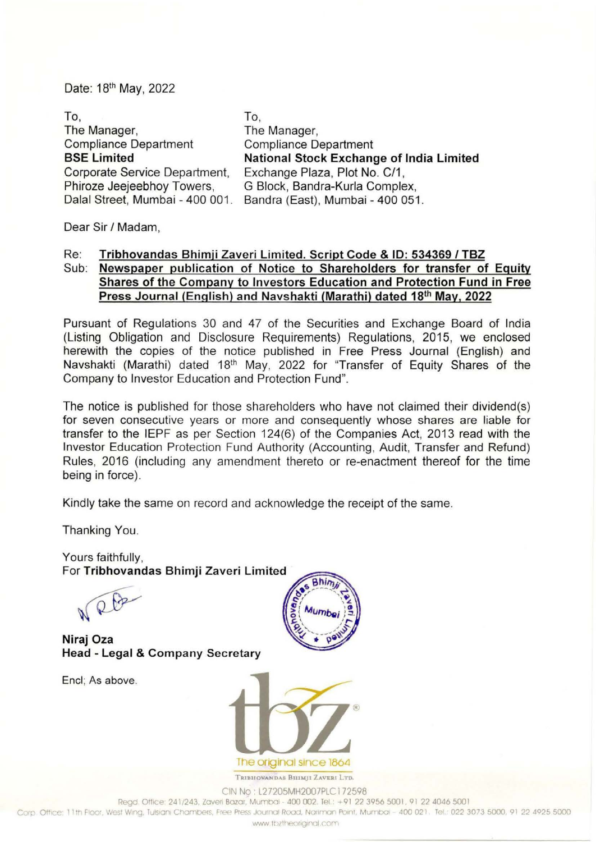Date: 18th May, 2022

To, The Manager, Compliance Department BSE Limited Corporate Service Department, Phiroze Jeejeebhoy Towers, Dalal Street, Mumbai - 400 001. To, The Manager, Compliance Department National Stock Exchange of India Limited Exchange Plaza, Plot No. C/1 , G Block, Bandra-Kurla Complex, Sandra (East), Mumbai- 400 051 .

Dear Sir / Madam,

## Re: Tribhovandas Bhimji Zaveri Limited. Script Code & ID: 534369 / TBZ Sub: Newspaper publication of Notice to Shareholders for transfer of Equity Shares of the Company to Investors Education and Protection Fund in Free Press Journal (English) and Navshakti (Marathi) dated 18<sup>th</sup> May, 2022

Pursuant of Regulations 30 and 47 of the Securities and Exchange Board of India (Listing Obligation and Disclosure Requirements) Regulations, 2015, we enclosed herewith the copies of the notice published in Free Press Journal (English) and Navshakti (Marathi) dated 18<sup>th</sup> May, 2022 for "Transfer of Equity Shares of the Company to Investor Education and Protection Fund".

The notice is published for those shareholders who have not claimed their dividend(s) for seven consecutive years or more and consequently whose shares are liable for transfer to the IEPF as per Section 124(6) of the Companies Act, 2013 read with the Investor Education Protection Fund Authority (Accounting, Audit, Transfer and Refund) Rules, 2016 (including any amendment thereto or re-enactment thereof for the time being in force).

Kindly take the same on record and acknowledge the receipt of the same.

Thanking You.

Yours faithfully, For Tribhovandas Bhimji Zaveri Limited

RB

Niraj Oza Head- Legal & Company Secretary

Encl; As above.





TRIBHOVANDAS BHIMJI ZAVERI LTD. CIN No : L27205MH2007PLC 1 72598

Regd. Office: 241/243. Zaveri Bazar, Mumbai - 400 002. Tel.: +91 22 3956 5001, 91 22 4046 5001

Corp. Office: 11th Floor, West Wing, Tulsiani Chambers, Free Press Journal Road, Nariman Point, Mumbai - 400 021. Tel.: 022 3073 5000, 91 22 4925 5000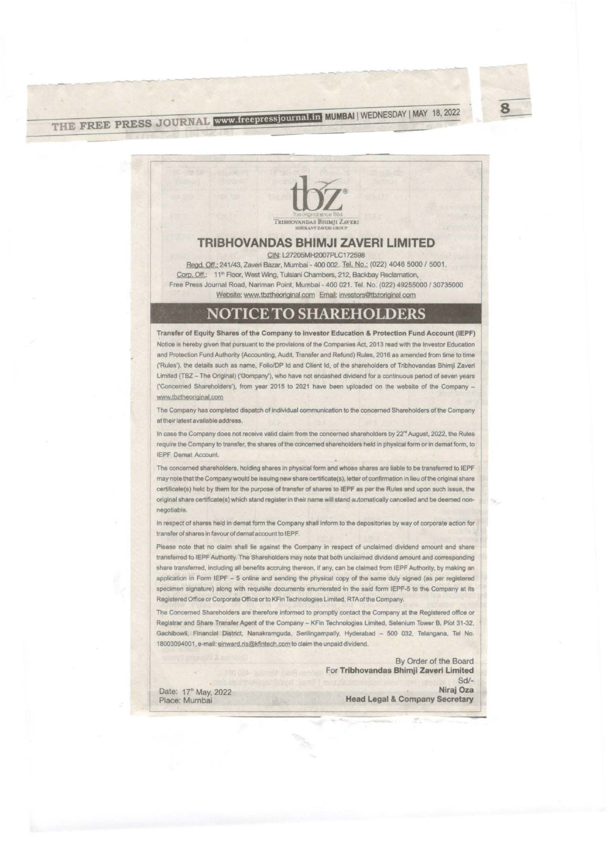THE FREE PRESS JOURNAL www.freepressjournal.in MUMBAI | WEDNESDAY | MAY 18, 2022



## **TRIBHOVANDAS BHIMJI ZAVERI LIMITED**

CIN: L27205MH2007PLC172598

Regd. Off.: 241/43, Zaveri Bazar, Mumbai - 400 002. Tel. No.: (022) 4046 5000 / 5001. Corp. Off.: 11<sup>th</sup> Floor, West Wing, Tulsiani Chambers, 212, Backbay Reclamation, Free Press Journal Road, Nariman Point, Mumbai - 400 021. Tel. No. (022) 49255000 / 30735000 Website; www.tbztheoriginal.com Email: investors@tbzoriginal com

## NOTICE TO SHAREHOLDERS

Transfer of Equity Shares of the Company to Investor Education & Protection Fund Account (IEPF) Notice is hereby given that pursuant to the provisions of the Companies Act, 2013 read with the Investor Education and Protection Fund Authority (Accounting, Audit, Transfer and Refund) Rules, 2016 as amended from time to time ('Rules'), the details such as name, Folio/DP Id and Client Id, of the shareholders of Tribhovandas Bhimji Zaverl Limited (TBZ - The Original) ('Gompany'), who have not encashed dividend for a continuous period of seven years ('Concerned Shareholders'), from year 2015 to 2021 have been uploaded on the website of the Company www.tbztheoriginal.com

The Company has completed dispatch of individual communication to the concerned Shareholders of the Company at their latest available address.

In case the Company does not receive valid claim from the concerned shareholders by 22<sup>%</sup> August, 2022, the Rules require the Company to transfer, the shares of the concerned shareholders held in physical form or in demat form, to IEPF Demat Account.

The concerned shareholders, holding shares in physical form and whose shares are liable to be transferred to IEPF may note that the Company would be issuing new share certificate(s), letter of confirmation in lieu of the original share certificate(s) held by them for the purpose of transfer of shares to IEPF as per the Rules and upon such issue, the original share certificate(s) which stand register in their name will stand automatically cancelled and be deemed nonnegotiable.

In respect of shares held in demat form the Company shall inform to the depositories by way of corporate action for transfer of shares in favour of demat account to IEPF.

Please note that no claim shall lie against the Company in respect of unclaimed dividend amount and share transferred to IEPF Authority. The Shareholders may note that both unclaimed dividend amount and corresponding share transferred, including all benefits accruing thereon, if any, can be claimed from IEPF Authority, by making an application in Form IEPF - 5 online and sending the physical copy of the same duly signed (as per registered specimen signature) along with requisite documents enumerated in the said form IEPF-5 to the Company at its Registered Office or Corporate Office or to KFin Technologies Limited, RTA of the Company.

The Concerned Shareholders are therefore informed to promptly contact the Company at the Registered office or Registrar and Share Transfer Agent of the Company - KFin Technologies Limited, Selenium Tower B, Plot 31-32, Gachibowli, Financial District, Nanakramguda, Serilingampally, Hyderabad - 500 032, Telangana, Tel No. 18003094001, e-mail: einward.ris@kfintech.com to claim the unpaid dividend.

> By Order of the Board For Tribhovandas Bhimji Zaveri Limited  $Sd/-$ Niraj Oza

Date: 17<sup>th</sup> May, 2022 Place: Mumbai

**Head Legal & Company Secretary**